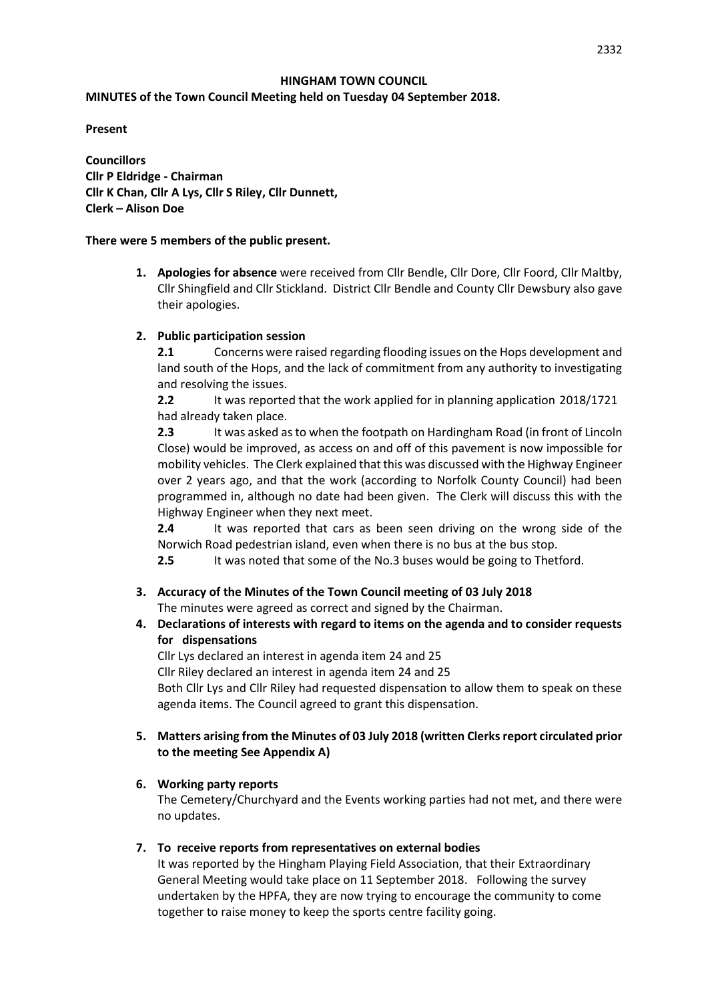#### **HINGHAM TOWN COUNCIL**

### **MINUTES of the Town Council Meeting held on Tuesday 04 September 2018.**

**Present**

**Councillors Cllr P Eldridge - Chairman Cllr K Chan, Cllr A Lys, Cllr S Riley, Cllr Dunnett, Clerk – Alison Doe**

### **There were 5 members of the public present.**

**1. Apologies for absence** were received from Cllr Bendle, Cllr Dore, Cllr Foord, Cllr Maltby, Cllr Shingfield and Cllr Stickland. District Cllr Bendle and County Cllr Dewsbury also gave their apologies.

## **2. Public participation session**

**2.1** Concerns were raised regarding flooding issues on the Hops development and land south of the Hops, and the lack of commitment from any authority to investigating and resolving the issues.

**2.2** It was reported that the work applied for in planning application 2018/1721 had already taken place.

**2.3** It was asked as to when the footpath on Hardingham Road (in front of Lincoln Close) would be improved, as access on and off of this pavement is now impossible for mobility vehicles. The Clerk explained that this was discussed with the Highway Engineer over 2 years ago, and that the work (according to Norfolk County Council) had been programmed in, although no date had been given. The Clerk will discuss this with the Highway Engineer when they next meet.

**2.4** It was reported that cars as been seen driving on the wrong side of the Norwich Road pedestrian island, even when there is no bus at the bus stop.

**2.5** It was noted that some of the No.3 buses would be going to Thetford.

### **3. Accuracy of the Minutes of the Town Council meeting of 03 July 2018** The minutes were agreed as correct and signed by the Chairman.

## **4. Declarations of interests with regard to items on the agenda and to consider requests for dispensations**

Cllr Lys declared an interest in agenda item 24 and 25 Cllr Riley declared an interest in agenda item 24 and 25 Both Cllr Lys and Cllr Riley had requested dispensation to allow them to speak on these agenda items. The Council agreed to grant this dispensation.

## **5. Matters arising from the Minutes of 03 July 2018 (written Clerksreport circulated prior to the meeting See Appendix A)**

## **6. Working party reports**

The Cemetery/Churchyard and the Events working parties had not met, and there were no updates.

### **7. To receive reports from representatives on external bodies**

It was reported by the Hingham Playing Field Association, that their Extraordinary General Meeting would take place on 11 September 2018. Following the survey undertaken by the HPFA, they are now trying to encourage the community to come together to raise money to keep the sports centre facility going.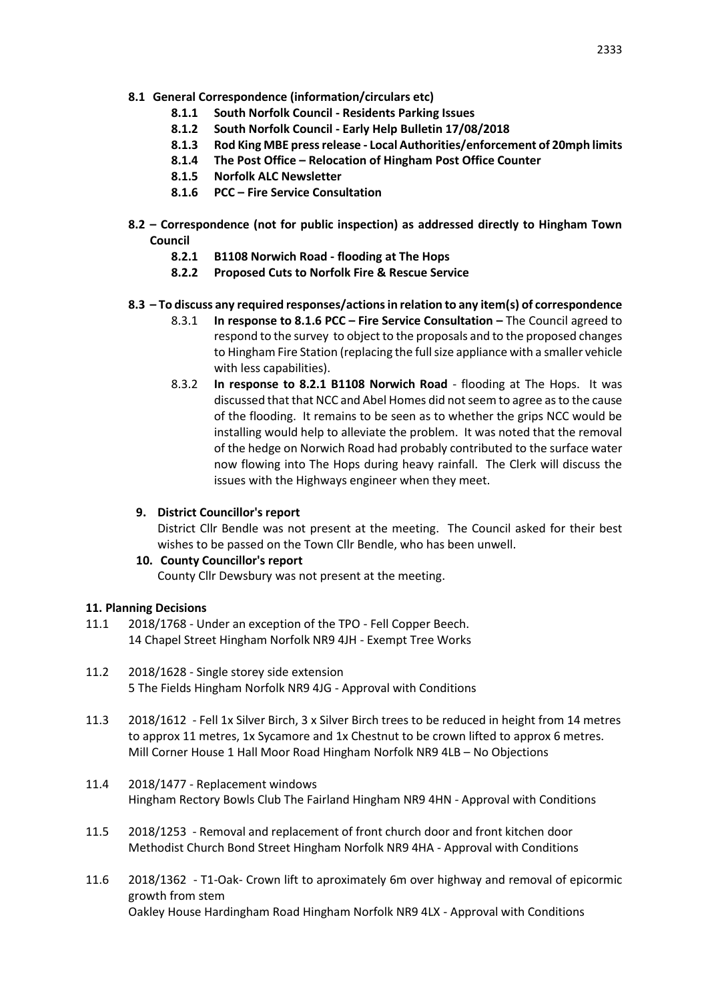- **8.1 General Correspondence (information/circulars etc)**
	- **8.1.1 South Norfolk Council - Residents Parking Issues**
	- **8.1.2 South Norfolk Council - Early Help Bulletin 17/08/2018**
	- **8.1.3 Rod King MBE press release - Local Authorities/enforcement of 20mph limits**
	- **8.1.4 The Post Office – Relocation of Hingham Post Office Counter**
	- **8.1.5 Norfolk ALC Newsletter**
	- **8.1.6 PCC – Fire Service Consultation**
- **8.2 – Correspondence (not for public inspection) as addressed directly to Hingham Town Council**
	- **8.2.1 B1108 Norwich Road - flooding at The Hops**
	- **8.2.2 Proposed Cuts to Norfolk Fire & Rescue Service**
- **8.3 – To discuss any required responses/actions in relation to any item(s) of correspondence** 
	- 8.3.1 **In response to 8.1.6 PCC – Fire Service Consultation –** The Council agreed to respond to the survey to object to the proposals and to the proposed changes to Hingham Fire Station (replacing the full size appliance with a smaller vehicle with less capabilities).
	- 8.3.2 **In response to 8.2.1 B1108 Norwich Road** flooding at The Hops. It was discussed that that NCC and Abel Homes did not seem to agree as to the cause of the flooding. It remains to be seen as to whether the grips NCC would be installing would help to alleviate the problem. It was noted that the removal of the hedge on Norwich Road had probably contributed to the surface water now flowing into The Hops during heavy rainfall. The Clerk will discuss the issues with the Highways engineer when they meet.

### **9. District Councillor's report**

District Cllr Bendle was not present at the meeting. The Council asked for their best wishes to be passed on the Town Cllr Bendle, who has been unwell.

### **10. County Councillor's report**

County Cllr Dewsbury was not present at the meeting.

### **11. Planning Decisions**

- 11.1 2018/1768 Under an exception of the TPO Fell Copper Beech. 14 Chapel Street Hingham Norfolk NR9 4JH - Exempt Tree Works
- 11.2 2018/1628 Single storey side extension 5 The Fields Hingham Norfolk NR9 4JG - Approval with Conditions
- 11.3 2018/1612 Fell 1x Silver Birch, 3 x Silver Birch trees to be reduced in height from 14 metres to approx 11 metres, 1x Sycamore and 1x Chestnut to be crown lifted to approx 6 metres. Mill Corner House 1 Hall Moor Road Hingham Norfolk NR9 4LB – No Objections
- 11.4 2018/1477 Replacement windows Hingham Rectory Bowls Club The Fairland Hingham NR9 4HN - Approval with Conditions
- 11.5 2018/1253 Removal and replacement of front church door and front kitchen door Methodist Church Bond Street Hingham Norfolk NR9 4HA - Approval with Conditions
- 11.6 2018/1362 T1-Oak- Crown lift to aproximately 6m over highway and removal of epicormic growth from stem Oakley House Hardingham Road Hingham Norfolk NR9 4LX - Approval with Conditions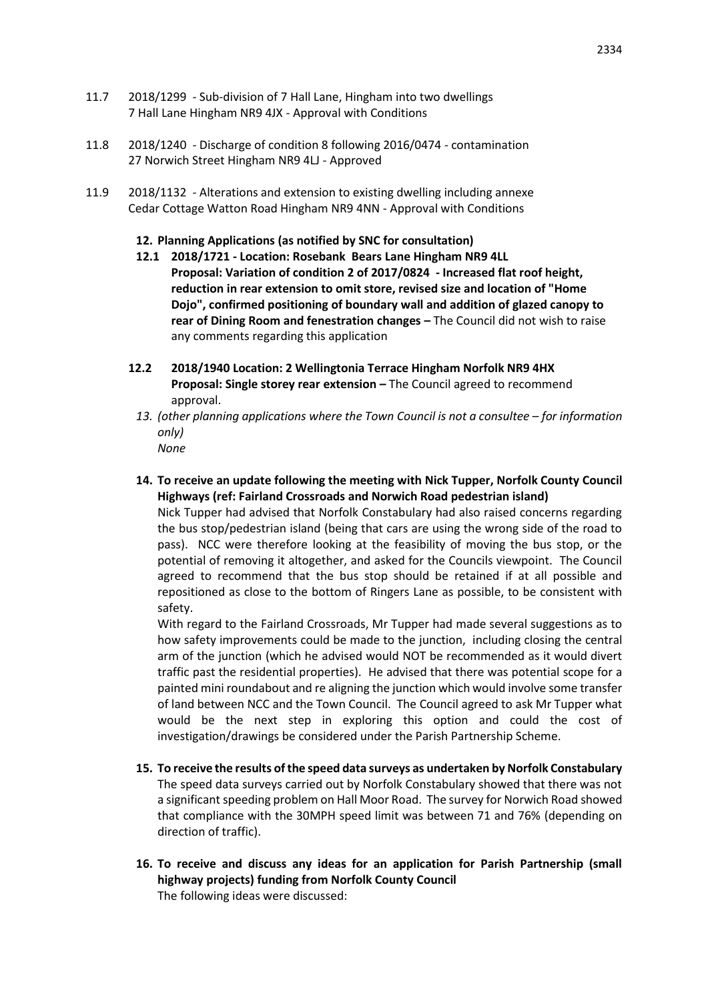- 11.7 2018/1299 Sub-division of 7 Hall Lane, Hingham into two dwellings 7 Hall Lane Hingham NR9 4JX - Approval with Conditions
- 11.8 2018/1240 Discharge of condition 8 following 2016/0474 contamination 27 Norwich Street Hingham NR9 4LJ - Approved
- 11.9 2018/1132 Alterations and extension to existing dwelling including annexe Cedar Cottage Watton Road Hingham NR9 4NN - Approval with Conditions
	- **12. Planning Applications (as notified by SNC for consultation)**
	- **12.1 2018/1721 - Location: Rosebank Bears Lane Hingham NR9 4LL Proposal: Variation of condition 2 of 2017/0824 - Increased flat roof height, reduction in rear extension to omit store, revised size and location of "Home Dojo", confirmed positioning of boundary wall and addition of glazed canopy to rear of Dining Room and fenestration changes –** The Council did not wish to raise any comments regarding this application
	- **12.2 2018/1940 Location: 2 Wellingtonia Terrace Hingham Norfolk NR9 4HX Proposal: Single storey rear extension –** The Council agreed to recommend approval.
		- *13. (other planning applications where the Town Council is not a consultee – for information only) None*
		- **14. To receive an update following the meeting with Nick Tupper, Norfolk County Council Highways (ref: Fairland Crossroads and Norwich Road pedestrian island)**

Nick Tupper had advised that Norfolk Constabulary had also raised concerns regarding the bus stop/pedestrian island (being that cars are using the wrong side of the road to pass). NCC were therefore looking at the feasibility of moving the bus stop, or the potential of removing it altogether, and asked for the Councils viewpoint. The Council agreed to recommend that the bus stop should be retained if at all possible and repositioned as close to the bottom of Ringers Lane as possible, to be consistent with safety.

With regard to the Fairland Crossroads, Mr Tupper had made several suggestions as to how safety improvements could be made to the junction, including closing the central arm of the junction (which he advised would NOT be recommended as it would divert traffic past the residential properties). He advised that there was potential scope for a painted mini roundabout and re aligning the junction which would involve some transfer of land between NCC and the Town Council. The Council agreed to ask Mr Tupper what would be the next step in exploring this option and could the cost of investigation/drawings be considered under the Parish Partnership Scheme.

- **15. To receive the results of the speed data surveys as undertaken by Norfolk Constabulary** The speed data surveys carried out by Norfolk Constabulary showed that there was not a significant speeding problem on Hall Moor Road. The survey for Norwich Road showed that compliance with the 30MPH speed limit was between 71 and 76% (depending on direction of traffic).
- **16. To receive and discuss any ideas for an application for Parish Partnership (small highway projects) funding from Norfolk County Council** The following ideas were discussed: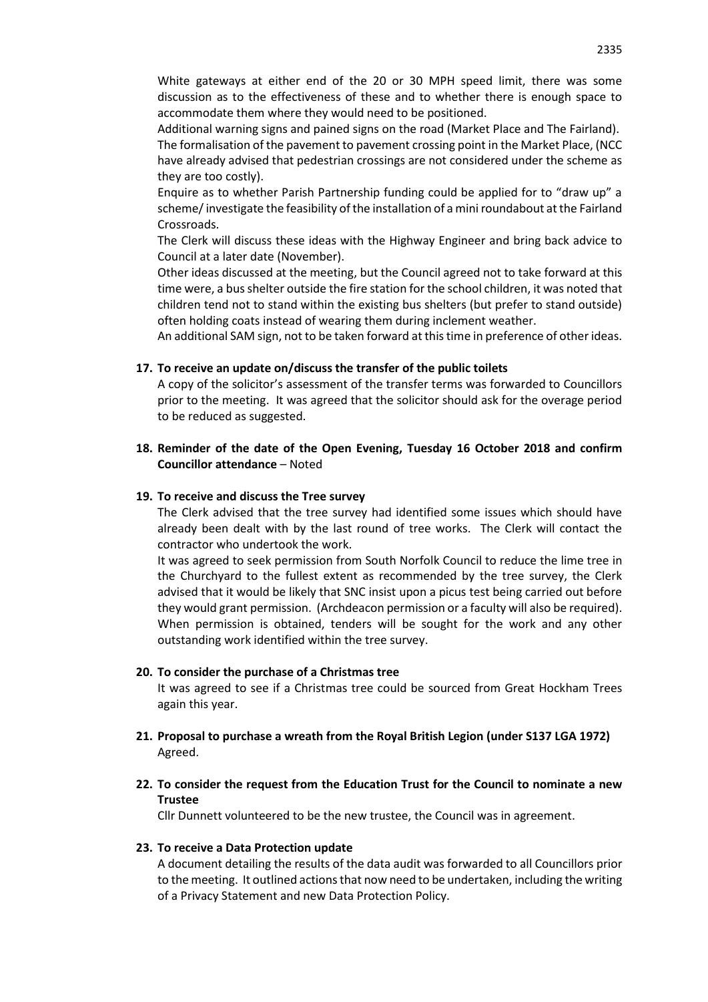White gateways at either end of the 20 or 30 MPH speed limit, there was some discussion as to the effectiveness of these and to whether there is enough space to accommodate them where they would need to be positioned.

Additional warning signs and pained signs on the road (Market Place and The Fairland).

The formalisation of the pavement to pavement crossing point in the Market Place, (NCC have already advised that pedestrian crossings are not considered under the scheme as they are too costly).

Enquire as to whether Parish Partnership funding could be applied for to "draw up" a scheme/ investigate the feasibility of the installation of a mini roundabout at the Fairland Crossroads.

The Clerk will discuss these ideas with the Highway Engineer and bring back advice to Council at a later date (November).

Other ideas discussed at the meeting, but the Council agreed not to take forward at this time were, a bus shelter outside the fire station for the school children, it was noted that children tend not to stand within the existing bus shelters (but prefer to stand outside) often holding coats instead of wearing them during inclement weather.

An additional SAM sign, not to be taken forward at this time in preference of other ideas.

#### **17. To receive an update on/discuss the transfer of the public toilets**

A copy of the solicitor's assessment of the transfer terms was forwarded to Councillors prior to the meeting. It was agreed that the solicitor should ask for the overage period to be reduced as suggested.

### **18. Reminder of the date of the Open Evening, Tuesday 16 October 2018 and confirm Councillor attendance** – Noted

#### **19. To receive and discuss the Tree survey**

The Clerk advised that the tree survey had identified some issues which should have already been dealt with by the last round of tree works. The Clerk will contact the contractor who undertook the work.

It was agreed to seek permission from South Norfolk Council to reduce the lime tree in the Churchyard to the fullest extent as recommended by the tree survey, the Clerk advised that it would be likely that SNC insist upon a picus test being carried out before they would grant permission. (Archdeacon permission or a faculty will also be required). When permission is obtained, tenders will be sought for the work and any other outstanding work identified within the tree survey.

#### **20. To consider the purchase of a Christmas tree**

It was agreed to see if a Christmas tree could be sourced from Great Hockham Trees again this year.

- **21. Proposal to purchase a wreath from the Royal British Legion (under S137 LGA 1972)** Agreed.
- **22. To consider the request from the Education Trust for the Council to nominate a new Trustee**

Cllr Dunnett volunteered to be the new trustee, the Council was in agreement.

#### **23. To receive a Data Protection update**

A document detailing the results of the data audit was forwarded to all Councillors prior to the meeting. It outlined actions that now need to be undertaken, including the writing of a Privacy Statement and new Data Protection Policy.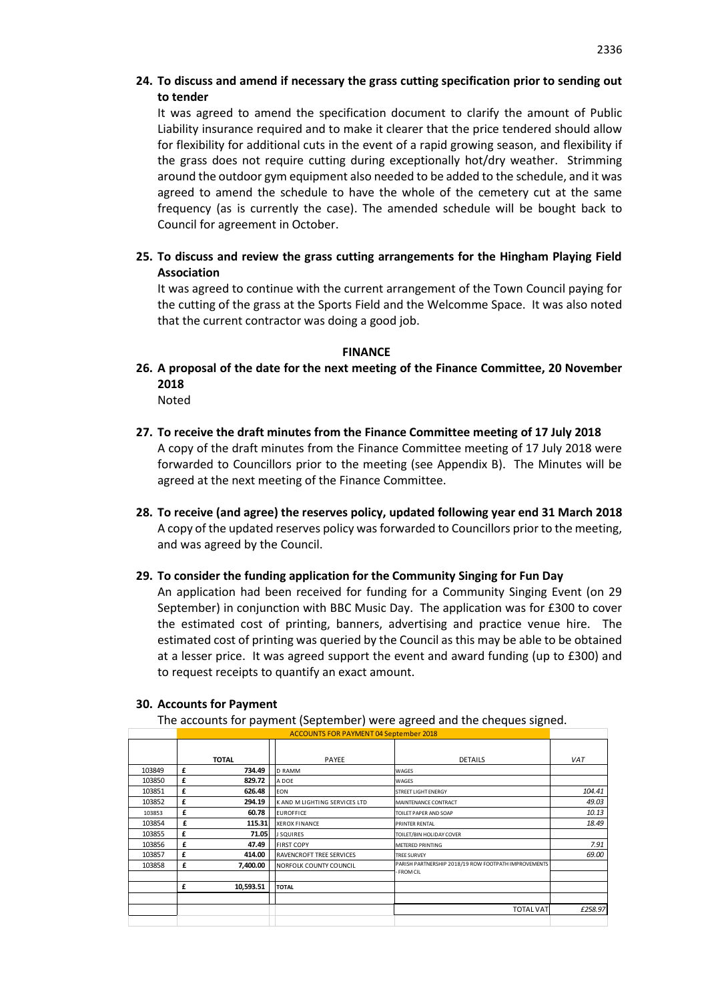## **24. To discuss and amend if necessary the grass cutting specification prior to sending out to tender**

It was agreed to amend the specification document to clarify the amount of Public Liability insurance required and to make it clearer that the price tendered should allow for flexibility for additional cuts in the event of a rapid growing season, and flexibility if the grass does not require cutting during exceptionally hot/dry weather. Strimming around the outdoor gym equipment also needed to be added to the schedule, and it was agreed to amend the schedule to have the whole of the cemetery cut at the same frequency (as is currently the case). The amended schedule will be bought back to Council for agreement in October.

**25. To discuss and review the grass cutting arrangements for the Hingham Playing Field Association**

It was agreed to continue with the current arrangement of the Town Council paying for the cutting of the grass at the Sports Field and the Welcomme Space. It was also noted that the current contractor was doing a good job.

#### **FINANCE**

**26. A proposal of the date for the next meeting of the Finance Committee, 20 November 2018**

Noted

- **27. To receive the draft minutes from the Finance Committee meeting of 17 July 2018**  A copy of the draft minutes from the Finance Committee meeting of 17 July 2018 were forwarded to Councillors prior to the meeting (see Appendix B). The Minutes will be agreed at the next meeting of the Finance Committee.
- **28. To receive (and agree) the reserves policy, updated following year end 31 March 2018** A copy of the updated reserves policy was forwarded to Councillors prior to the meeting, and was agreed by the Council.
- **29. To consider the funding application for the Community Singing for Fun Day**

An application had been received for funding for a Community Singing Event (on 29 September) in conjunction with BBC Music Day. The application was for £300 to cover the estimated cost of printing, banners, advertising and practice venue hire. The estimated cost of printing was queried by the Council as this may be able to be obtained at a lesser price. It was agreed support the event and award funding (up to £300) and to request receipts to quantify an exact amount.

#### **30. Accounts for Payment**

The accounts for payment (September) were agreed and the cheques signed.

|        |   | <b>ACCOUNTS FOR PAYMENT 04 September 2018</b> |                               |                                                      |        |  |  |  |
|--------|---|-----------------------------------------------|-------------------------------|------------------------------------------------------|--------|--|--|--|
|        |   | <b>TOTAL</b>                                  | PAYEE                         | <b>DETAILS</b>                                       | VAT    |  |  |  |
| 103849 | £ | 734.49                                        | <b>D RAMM</b>                 | WAGES                                                |        |  |  |  |
| 103850 | £ | 829.72                                        | A DOE                         | WAGES                                                |        |  |  |  |
| 103851 | £ | 626.48                                        | EON                           | STREET LIGHT ENERGY                                  | 104.41 |  |  |  |
| 103852 | £ | 294.19                                        | K AND M LIGHTING SERVICES LTD | MAINTENANCE CONTRACT                                 | 49.03  |  |  |  |
| 103853 | £ | 60.78                                         | <b>EUROFFICE</b>              | TOILET PAPER AND SOAP                                | 10.13  |  |  |  |
| 103854 | £ | 115.31                                        | <b>XEROX FINANCE</b>          | PRINTER RENTAL                                       | 18.49  |  |  |  |
| 103855 | £ | 71.05                                         | <b>J SQUIRES</b>              | TOILET/BIN HOLIDAY COVER                             |        |  |  |  |
| 103856 | £ | 47.49                                         | <b>FIRST COPY</b>             | <b>METERED PRINTING</b>                              | 7.91   |  |  |  |
| 103857 | £ | 414.00                                        | RAVENCROFT TREE SERVICES      | <b>TREE SURVEY</b>                                   | 69.00  |  |  |  |
| 103858 | £ | 7,400.00                                      | NORFOLK COUNTY COUNCIL        | PARISH PARTNERSHIP 2018/19 ROW FOOTPATH IMPROVEMENTS |        |  |  |  |
|        |   |                                               |                               | - FROM CIL                                           |        |  |  |  |
|        | £ | 10,593.51                                     | <b>TOTAL</b>                  |                                                      |        |  |  |  |
|        |   |                                               |                               |                                                      |        |  |  |  |
|        |   |                                               | <b>TOTAL VAT</b>              | £258.97                                              |        |  |  |  |
|        |   |                                               |                               |                                                      |        |  |  |  |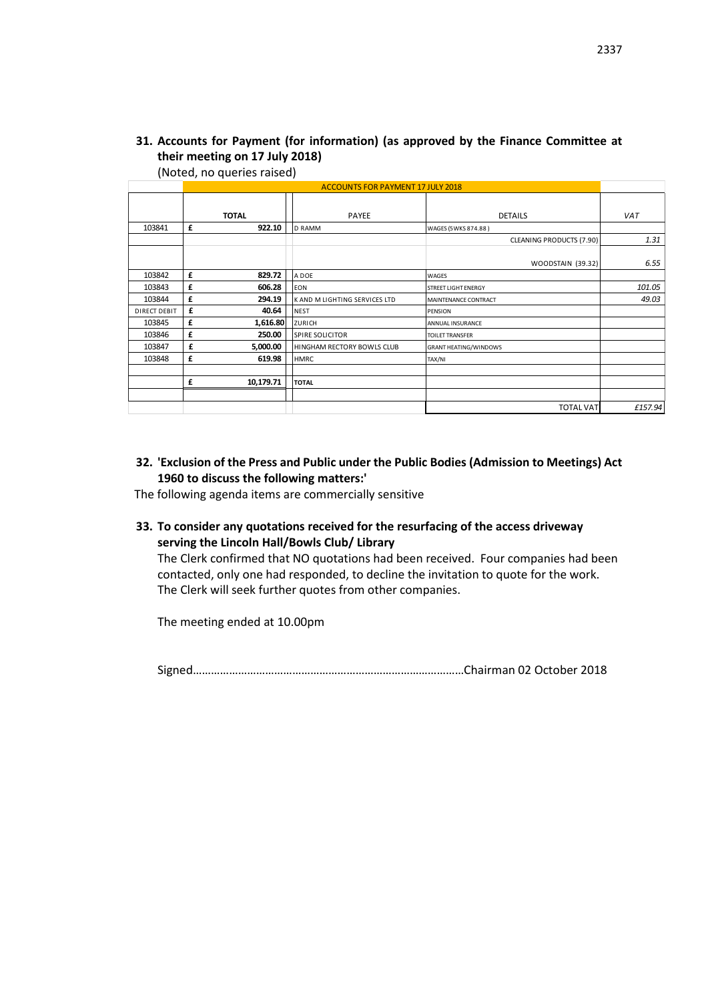## **31. Accounts for Payment (for information) (as approved by the Finance Committee at their meeting on 17 July 2018)**

(Noted, no queries raised)

|              |   | <b>ACCOUNTS FOR PAYMENT 17 JULY 2018</b> |                               |                                 |         |
|--------------|---|------------------------------------------|-------------------------------|---------------------------------|---------|
|              |   | <b>TOTAL</b>                             | PAYEE                         | <b>DETAILS</b>                  | VAT     |
| 103841       | £ | 922.10                                   | <b>D RAMM</b>                 | WAGES (5WKS 874.88)             |         |
|              |   |                                          |                               | <b>CLEANING PRODUCTS (7.90)</b> | 1.31    |
|              |   |                                          |                               | <b>WOODSTAIN (39.32)</b>        | 6.55    |
| 103842       | £ | 829.72                                   | A DOE                         | <b>WAGES</b>                    |         |
| 103843       | £ | 606.28                                   | EON                           | <b>STREET LIGHT ENERGY</b>      | 101.05  |
| 103844       | £ | 294.19                                   | K AND M LIGHTING SERVICES LTD | MAINTENANCE CONTRACT            | 49.03   |
| DIRECT DEBIT | £ | 40.64                                    | <b>NEST</b>                   | <b>PENSION</b>                  |         |
| 103845       | £ | 1,616.80                                 | <b>ZURICH</b>                 | <b>ANNUAL INSURANCE</b>         |         |
| 103846       | £ | 250.00                                   | <b>SPIRE SOLICITOR</b>        | <b>TOILET TRANSFER</b>          |         |
| 103847       | £ | 5,000.00                                 | HINGHAM RECTORY BOWLS CLUB    | <b>GRANT HEATING/WINDOWS</b>    |         |
| 103848       | £ | 619.98                                   | <b>HMRC</b>                   | TAX/NI                          |         |
|              |   |                                          |                               |                                 |         |
|              | £ | 10,179.71                                | <b>TOTAL</b>                  |                                 |         |
|              |   |                                          |                               |                                 |         |
|              |   |                                          |                               | <b>TOTAL VAT</b>                | £157.94 |

### **32. 'Exclusion of the Press and Public under the Public Bodies (Admission to Meetings) Act 1960 to discuss the following matters:'**

The following agenda items are commercially sensitive

**33. To consider any quotations received for the resurfacing of the access driveway serving the Lincoln Hall/Bowls Club/ Library**

The Clerk confirmed that NO quotations had been received. Four companies had been contacted, only one had responded, to decline the invitation to quote for the work. The Clerk will seek further quotes from other companies.

The meeting ended at 10.00pm

Signed………………………………………………………………………………Chairman 02 October 2018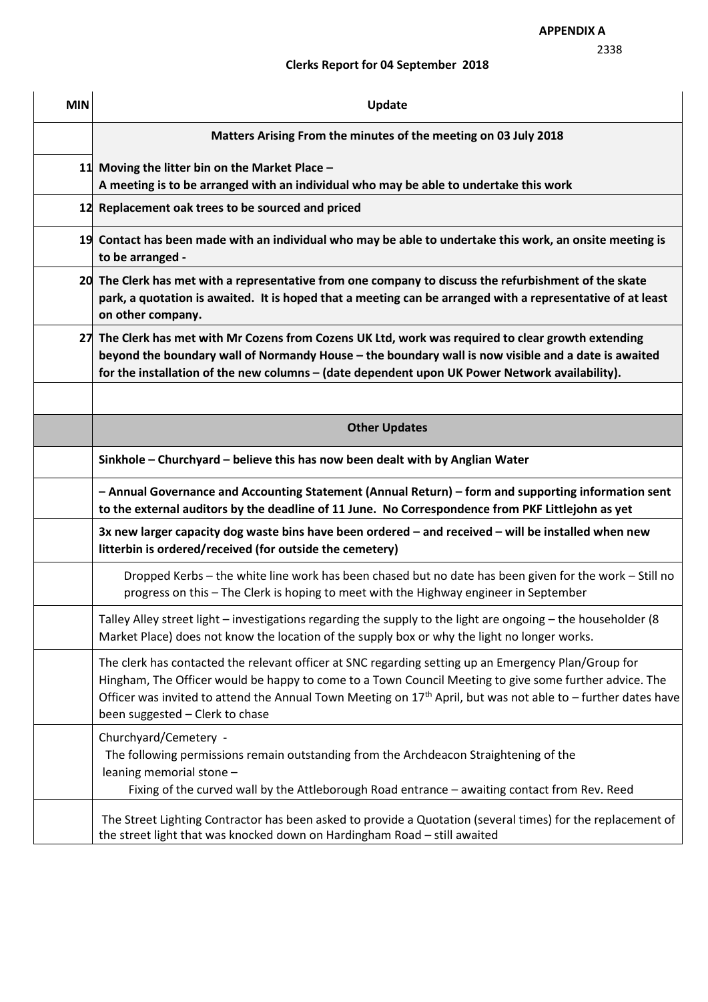## **Clerks Report for 04 September 2018**

| <b>MIN</b> | Update                                                                                                                                                                                                                                                                                                                                                               |
|------------|----------------------------------------------------------------------------------------------------------------------------------------------------------------------------------------------------------------------------------------------------------------------------------------------------------------------------------------------------------------------|
|            | Matters Arising From the minutes of the meeting on 03 July 2018                                                                                                                                                                                                                                                                                                      |
|            | 11 Moving the litter bin on the Market Place $-$<br>A meeting is to be arranged with an individual who may be able to undertake this work                                                                                                                                                                                                                            |
|            | 12 Replacement oak trees to be sourced and priced                                                                                                                                                                                                                                                                                                                    |
|            | 19 Contact has been made with an individual who may be able to undertake this work, an onsite meeting is<br>to be arranged -                                                                                                                                                                                                                                         |
|            | 20 The Clerk has met with a representative from one company to discuss the refurbishment of the skate<br>park, a quotation is awaited. It is hoped that a meeting can be arranged with a representative of at least<br>on other company.                                                                                                                             |
|            | 27 The Clerk has met with Mr Cozens from Cozens UK Ltd, work was required to clear growth extending<br>beyond the boundary wall of Normandy House - the boundary wall is now visible and a date is awaited<br>for the installation of the new columns - (date dependent upon UK Power Network availability).                                                         |
|            | <b>Other Updates</b>                                                                                                                                                                                                                                                                                                                                                 |
|            | Sinkhole - Churchyard - believe this has now been dealt with by Anglian Water                                                                                                                                                                                                                                                                                        |
|            | - Annual Governance and Accounting Statement (Annual Return) - form and supporting information sent<br>to the external auditors by the deadline of 11 June. No Correspondence from PKF Littlejohn as yet                                                                                                                                                             |
|            | 3x new larger capacity dog waste bins have been ordered - and received - will be installed when new<br>litterbin is ordered/received (for outside the cemetery)                                                                                                                                                                                                      |
|            | Dropped Kerbs - the white line work has been chased but no date has been given for the work - Still no<br>progress on this - The Clerk is hoping to meet with the Highway engineer in September                                                                                                                                                                      |
|            | Talley Alley street light - investigations regarding the supply to the light are ongoing - the householder (8<br>Market Place) does not know the location of the supply box or why the light no longer works.                                                                                                                                                        |
|            | The clerk has contacted the relevant officer at SNC regarding setting up an Emergency Plan/Group for<br>Hingham, The Officer would be happy to come to a Town Council Meeting to give some further advice. The<br>Officer was invited to attend the Annual Town Meeting on $17th$ April, but was not able to – further dates have<br>been suggested - Clerk to chase |
|            | Churchyard/Cemetery -<br>The following permissions remain outstanding from the Archdeacon Straightening of the<br>leaning memorial stone -<br>Fixing of the curved wall by the Attleborough Road entrance - awaiting contact from Rev. Reed                                                                                                                          |
|            | The Street Lighting Contractor has been asked to provide a Quotation (several times) for the replacement of<br>the street light that was knocked down on Hardingham Road - still awaited                                                                                                                                                                             |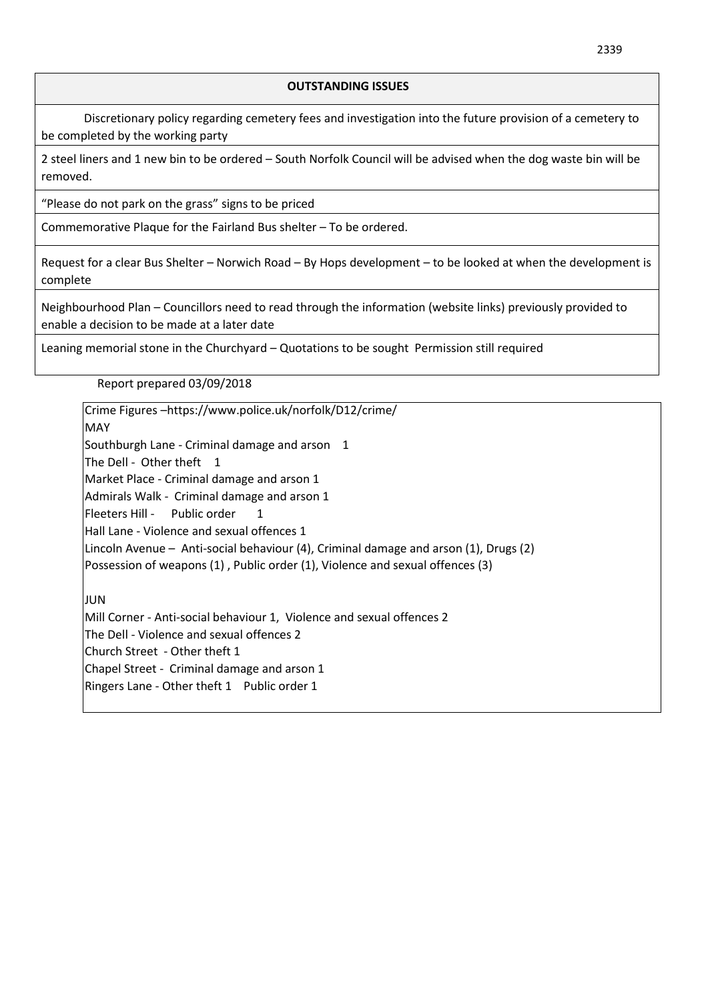### **OUTSTANDING ISSUES**

Discretionary policy regarding cemetery fees and investigation into the future provision of a cemetery to be completed by the working party

2 steel liners and 1 new bin to be ordered – South Norfolk Council will be advised when the dog waste bin will be removed.

"Please do not park on the grass" signs to be priced

Commemorative Plaque for the Fairland Bus shelter – To be ordered.

Request for a clear Bus Shelter – Norwich Road – By Hops development – to be looked at when the development is complete

Neighbourhood Plan – Councillors need to read through the information (website links) previously provided to enable a decision to be made at a later date

Leaning memorial stone in the Churchyard – Quotations to be sought Permission still required

Report prepared 03/09/2018

Crime Figures –https://www.police.uk/norfolk/D12/crime/ MAY Southburgh Lane - Criminal damage and arson 1 The Dell - Other theft 1 Market Place - Criminal damage and arson 1 Admirals Walk - Criminal damage and arson 1 Fleeters Hill - Public order 1 Hall Lane - Violence and sexual offences 1 Lincoln Avenue – Anti-social behaviour (4), Criminal damage and arson (1), Drugs (2) Possession of weapons (1) , Public order (1), Violence and sexual offences (3) JUN Mill Corner - Anti-social behaviour 1, Violence and sexual offences 2 The Dell - Violence and sexual offences 2 Church Street - Other theft 1 Chapel Street - Criminal damage and arson 1 Ringers Lane - Other theft 1 Public order 1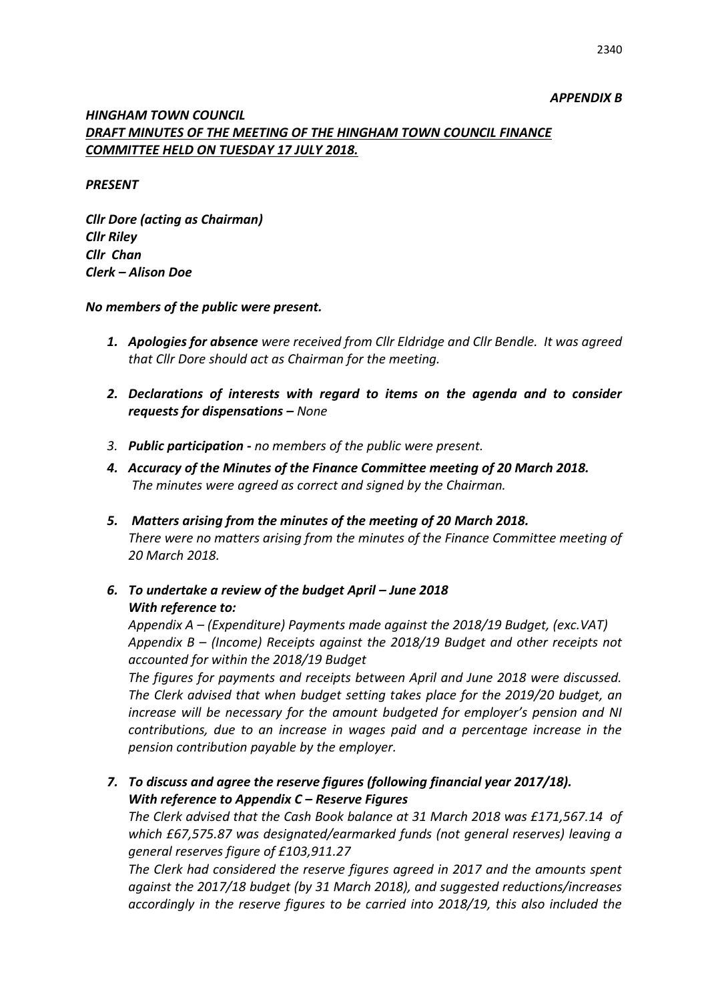## *APPENDIX B*

## *HINGHAM TOWN COUNCIL DRAFT MINUTES OF THE MEETING OF THE HINGHAM TOWN COUNCIL FINANCE COMMITTEE HELD ON TUESDAY 17 JULY 2018.*

### *PRESENT*

*Cllr Dore (acting as Chairman) Cllr Riley Cllr Chan Clerk – Alison Doe*

### *No members of the public were present.*

- *1. Apologies for absence were received from Cllr Eldridge and Cllr Bendle. It was agreed that Cllr Dore should act as Chairman for the meeting.*
- *2. Declarations of interests with regard to items on the agenda and to consider requests for dispensations – None*
- *3. Public participation - no members of the public were present.*
- *4. Accuracy of the Minutes of the Finance Committee meeting of 20 March 2018. The minutes were agreed as correct and signed by the Chairman.*
- *5. Matters arising from the minutes of the meeting of 20 March 2018. There were no matters arising from the minutes of the Finance Committee meeting of 20 March 2018.*
- 6. To undertake a review of the budget April June 2018 *With reference to:*

*Appendix A – (Expenditure) Payments made against the 2018/19 Budget, (exc.VAT) Appendix B – (Income) Receipts against the 2018/19 Budget and other receipts not accounted for within the 2018/19 Budget*

*The figures for payments and receipts between April and June 2018 were discussed. The Clerk advised that when budget setting takes place for the 2019/20 budget, an increase will be necessary for the amount budgeted for employer's pension and NI contributions, due to an increase in wages paid and a percentage increase in the pension contribution payable by the employer.* 

*7. To discuss and agree the reserve figures (following financial year 2017/18). With reference to Appendix C – Reserve Figures* 

*The Clerk advised that the Cash Book balance at 31 March 2018 was £171,567.14 of which £67,575.87 was designated/earmarked funds (not general reserves) leaving a general reserves figure of £103,911.27*

*The Clerk had considered the reserve figures agreed in 2017 and the amounts spent against the 2017/18 budget (by 31 March 2018), and suggested reductions/increases accordingly in the reserve figures to be carried into 2018/19, this also included the*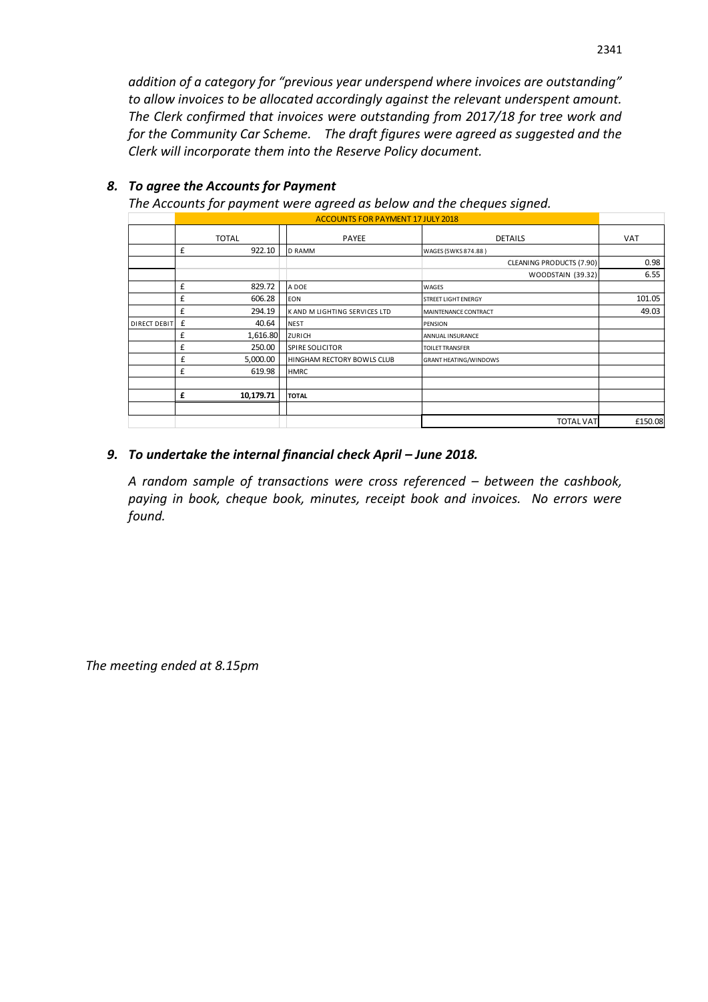*addition of a category for "previous year underspend where invoices are outstanding" to allow invoices to be allocated accordingly against the relevant underspent amount. The Clerk confirmed that invoices were outstanding from 2017/18 for tree work and for the Community Car Scheme. The draft figures were agreed as suggested and the Clerk will incorporate them into the Reserve Policy document.*

|                     | $\overline{\phantom{a}}$<br><b>ACCOUNTS FOR PAYMENT 17 JULY 2018</b> |           |                               |                              |            |  |  |
|---------------------|----------------------------------------------------------------------|-----------|-------------------------------|------------------------------|------------|--|--|
|                     | <b>TOTAL</b>                                                         |           | PAYEE                         | <b>DETAILS</b>               | <b>VAT</b> |  |  |
|                     | £                                                                    | 922.10    | <b>D RAMM</b>                 | WAGES (5WKS 874.88)          |            |  |  |
|                     |                                                                      |           |                               | CLEANING PRODUCTS (7.90)     | 0.98       |  |  |
|                     |                                                                      |           |                               | WOODSTAIN (39.32)            | 6.55       |  |  |
|                     | £                                                                    | 829.72    | A DOE                         | WAGES                        |            |  |  |
|                     | £                                                                    | 606.28    | <b>EON</b>                    | <b>STREET LIGHT ENERGY</b>   | 101.05     |  |  |
|                     | £                                                                    | 294.19    | K AND M LIGHTING SERVICES LTD | MAINTENANCE CONTRACT         | 49.03      |  |  |
| <b>DIRECT DEBIT</b> | £                                                                    | 40.64     | <b>NEST</b>                   | <b>PENSION</b>               |            |  |  |
|                     | £                                                                    | 1,616.80  | <b>ZURICH</b>                 | ANNUAL INSURANCE             |            |  |  |
|                     | £                                                                    | 250.00    | <b>SPIRE SOLICITOR</b>        | <b>TOILET TRANSFER</b>       |            |  |  |
|                     | £                                                                    | 5,000.00  | HINGHAM RECTORY BOWLS CLUB    | <b>GRANT HEATING/WINDOWS</b> |            |  |  |
|                     | £                                                                    | 619.98    | <b>HMRC</b>                   |                              |            |  |  |
|                     |                                                                      |           |                               |                              |            |  |  |
|                     | £                                                                    | 10,179.71 | <b>TOTAL</b>                  |                              |            |  |  |
|                     |                                                                      |           |                               |                              |            |  |  |
|                     |                                                                      |           |                               | <b>TOTAL VAT</b>             | £150.08    |  |  |

## *8. To agree the Accounts for Payment*

*The Accounts for payment were agreed as below and the cheques signed.*

## **9.** To undertake the internal financial check April – June 2018.

*A random sample of transactions were cross referenced – between the cashbook, paying in book, cheque book, minutes, receipt book and invoices. No errors were found.*

*The meeting ended at 8.15pm*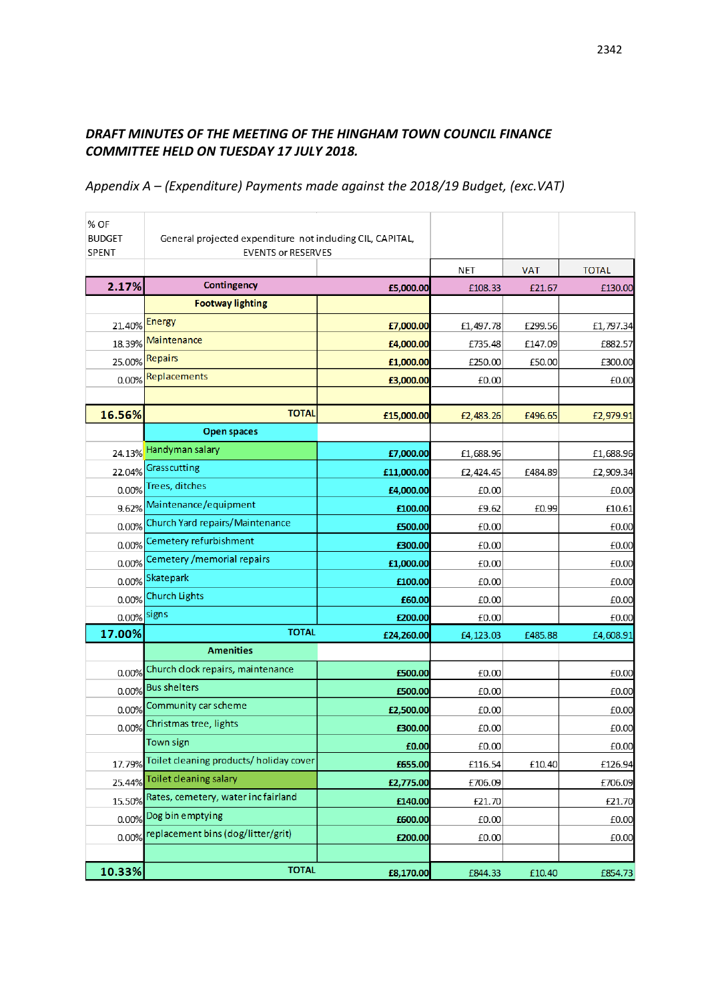# *DRAFT MINUTES OF THE MEETING OF THE HINGHAM TOWN COUNCIL FINANCE COMMITTEE HELD ON TUESDAY 17 JULY 2018.*

## *Appendix A – (Expenditure) Payments made against the 2018/19 Budget, (exc.VAT)*

| % OF<br><b>BUDGET</b><br>SPENT | General projected expenditure not including CIL, CAPITAL,<br><b>EVENTS or RESERVES</b> |            |           |            |              |
|--------------------------------|----------------------------------------------------------------------------------------|------------|-----------|------------|--------------|
|                                |                                                                                        |            | NET       | <b>VAT</b> | <b>TOTAL</b> |
| 2.17%                          | Contingency                                                                            | £5,000.00  | £108.33   | £21.67     | £130.00      |
|                                | <b>Footway lighting</b>                                                                |            |           |            |              |
| 21.40%                         | <b>Energy</b>                                                                          | £7,000.00  | £1,497.78 | £299.56    | £1,797.34    |
| 18.39%                         | Maintenance                                                                            | £4,000.00  | £735.48   | £147.09    | £882.57      |
| 25.00%                         | Repairs                                                                                | £1,000.00  | £250.00   | £50.00     | £300.00      |
| 0.00%                          | Replacements                                                                           | £3,000.00  | £0.00     |            | £0.00        |
|                                |                                                                                        |            |           |            |              |
| 16.56%                         | <b>TOTAL</b>                                                                           | £15,000.00 | £2,483.26 | £496.65    | £2,979.91    |
|                                | <b>Open spaces</b>                                                                     |            |           |            |              |
| 24.13%                         | Handyman salary                                                                        | £7,000.00  | £1,688.96 |            | £1,688.96    |
| 22.04%                         | Grasscutting                                                                           | £11,000.00 | £2,424.45 | £484.89    | £2,909.34    |
| 0.00%                          | Trees, ditches                                                                         | £4,000.00  | £0.00     |            | £0.00        |
| 9.62%                          | Maintenance/equipment                                                                  | £100.00    | £9.62     | £0.99      | £10.61       |
| 0.00%                          | Church Yard repairs/Maintenance                                                        | £500.00    | £0.00     |            | £0.00        |
| 0.00%                          | Cemetery refurbishment                                                                 | £300.00    | £0.00     |            | £0.00        |
| 0.00%                          | Cemetery / memorial repairs                                                            | £1,000.00  | £0.00     |            | £0.00        |
| 0.00%                          | Skatepark                                                                              | £100.00    | £0.00     |            | £0.00        |
| 0.00%                          | <b>Church Lights</b>                                                                   | £60.00     | £0.00     |            | £0.00        |
| 0.00%                          | signs                                                                                  | £200.00    | £0.00     |            | £0.00        |
| 17.00%                         | <b>TOTAL</b>                                                                           | £24,260.00 | £4,123.03 | £485.88    | £4,608.91    |
|                                | <b>Amenities</b>                                                                       |            |           |            |              |
| 0.00%                          | Church clock repairs, maintenance                                                      | £500.00    | £0.00     |            | £0.00        |
| 0.00%                          | <b>Bus shelters</b>                                                                    | £500.00    | £0.00     |            | £0.00        |
| 0.00%                          | Community car scheme                                                                   | £2,500.00  | £0.00     |            | £0.00        |
| 0.00%                          | Christmas tree, lights                                                                 | £300.00    | £0.00     |            | £0.00        |
|                                | <b>Town sign</b>                                                                       | £0.00      | £0.00     |            | £0.00        |
| 17.79%                         | Toilet cleaning products/holiday cover                                                 | £655.00    | £116.54   | £10.40     | £126.94      |
| 25.44%                         | Toilet cleaning salary                                                                 | £2,775.00  | £706.09   |            | £706.09      |
| 15.50%                         | Rates, cemetery, water incfairland                                                     | £140.00    | £21.70    |            | £21.70       |
| 0.00%                          | Dog bin emptying                                                                       | £600.00    | £0.00     |            | £0.00        |
| 0.00%                          | replacement bins (dog/litter/grit)                                                     | £200.00    | £0.00     |            | £0.00        |
|                                |                                                                                        |            |           |            |              |
| 10.33%                         | <b>TOTAL</b>                                                                           | £8,170.00  | £844.33   | £10.40     | £854.73      |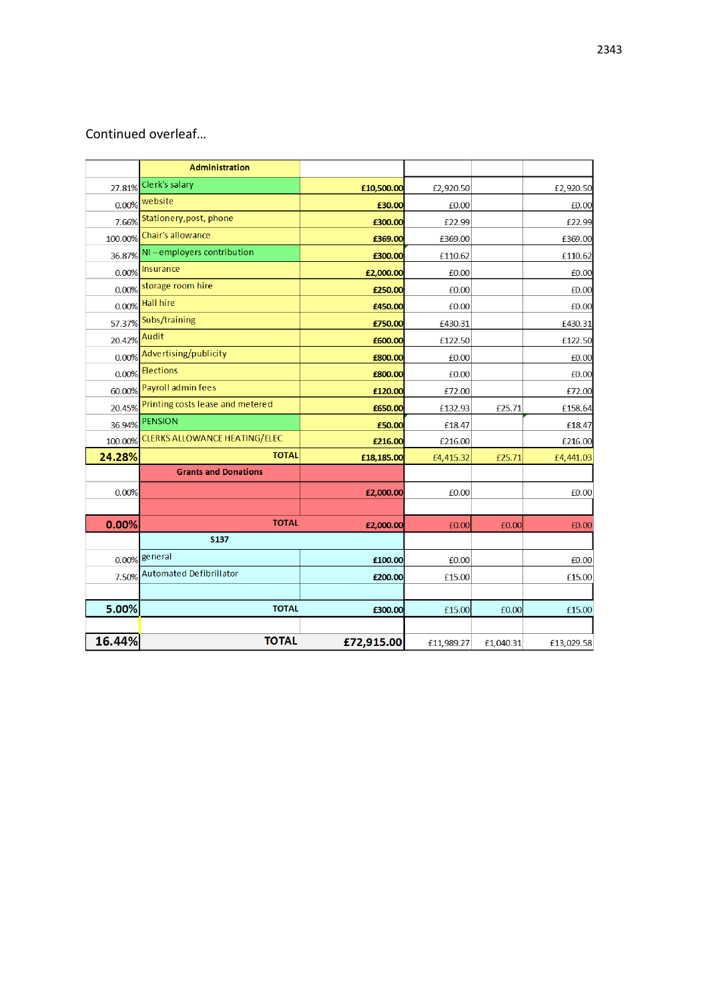# Continued overleaf…

|         | <b>Administration</b>                 |            |            |           |            |
|---------|---------------------------------------|------------|------------|-----------|------------|
| 27.81%  | Clerk's salary                        | £10,500.00 | £2,920.50  |           | £2,920.50  |
|         | 0.00% website                         | £30.00     | £0.00      |           | £0.00      |
| 7.66%   | Stationery, post, phone               | £300.00    | £22.99     |           | £22.99     |
| 100.00% | Chair's allowance                     | £369.00    | £369.00    |           | £369.00    |
| 36.87%  | NI-employers contribution             | £300.00    | £110.62    |           | £110.62    |
|         | 0.00% Insurance                       | £2,000.00  | £0.00      |           | £0.00      |
|         | 0.00% storage room hire               | £250.00    | £0.00      |           | £0.00      |
|         | 0.00% Hall hire                       | £450.00    | £0.00      |           | £0.00      |
|         | 57.37% Subs/training                  | £750.00    | £430.31    |           | £430.31    |
| 20.42%  | Audit                                 | £600.00    | £122.50    |           | £122.50    |
| 0.00%   | Advertising/publicity                 | £800.00    | £0.00      |           | £0.00      |
| 0.00%   | <b>Elections</b>                      | £800.00    | £0.00      |           | £0.00      |
|         | 60.00% Payroll admin fees             | £120.00    | £72.00     |           | £72.00     |
| 20.45%  | Printing costs lease and metered      | £650.00    | £132.93    | £25.71    | £158.64    |
| 36.94%  | <b>PENSION</b>                        | £50.00     | £18.47     |           | £18.47     |
|         | 100.00% CLERKS ALLOWANCE HEATING/ELEC | £216.00    | £216.00    |           | £216.00    |
| 24.28%  | <b>TOTAL</b>                          | £18,185.00 | £4,415.32  | £25.71    | £4,441.03  |
|         | <b>Grants and Donations</b>           |            |            |           |            |
| 0.00%   |                                       | £2,000.00  | £0.00      |           | £0.00      |
|         |                                       |            |            |           |            |
| 0.00%   | <b>TOTAL</b>                          | £2,000.00  | £0.00      | £0.00     | £0.00      |
|         | <b>S137</b>                           |            |            |           |            |
|         | 0.00% general                         | £100.00    | £0.00      |           | £0.00      |
|         | 7.50% Automated Defibrillator         | £200.00    | £15.00     |           | £15.00     |
|         |                                       |            |            |           |            |
| 5.00%   | <b>TOTAL</b>                          | £300.00    | £15.00     | £0.00     | £15.00     |
|         |                                       |            |            |           |            |
| 16.44%  | <b>TOTAL</b>                          | £72,915.00 | £11,989.27 | £1,040.31 | £13,029.58 |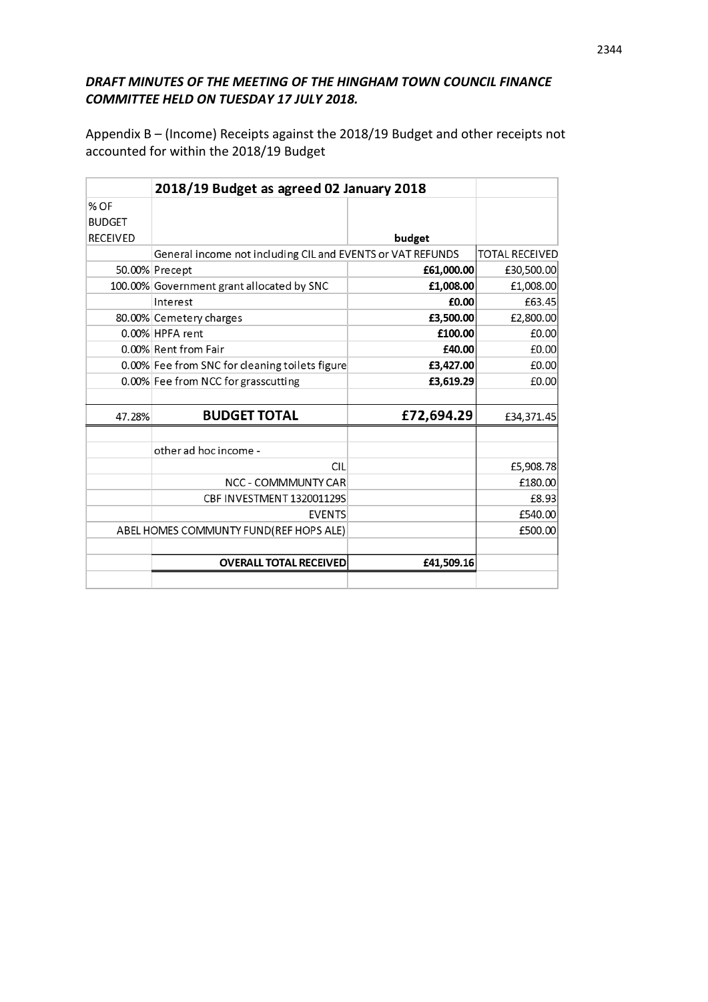## *DRAFT MINUTES OF THE MEETING OF THE HINGHAM TOWN COUNCIL FINANCE COMMITTEE HELD ON TUESDAY 17 JULY 2018.*

Appendix B – (Income) Receipts against the 2018/19 Budget and other receipts not accounted for within the 2018/19 Budget

|                 | 2018/19 Budget as agreed 02 January 2018                   |            |                       |
|-----------------|------------------------------------------------------------|------------|-----------------------|
| $%$ OF          |                                                            |            |                       |
| <b>BUDGET</b>   |                                                            |            |                       |
| <b>RECEIVED</b> |                                                            | budget     |                       |
|                 | General income not including CIL and EVENTS or VAT REFUNDS |            | <b>TOTAL RECEIVED</b> |
|                 | 50.00% Precept                                             | £61,000.00 | £30,500.00            |
|                 | 100.00% Government grant allocated by SNC                  | £1,008.00  | £1,008.00             |
|                 | Interest                                                   | £0.00      | £63.45                |
|                 | 80.00% Cemetery charges                                    | £3,500.00  | £2,800.00             |
|                 | 0.00% HPFA rent                                            | £100.00    | £0.00                 |
|                 | 0.00% Rent from Fair                                       | £40.00     | £0.00                 |
|                 | 0.00% Fee from SNC for cleaning toilets figure             | £3,427.00  | £0.00                 |
|                 | 0.00% Fee from NCC for grasscutting                        | £3,619.29  | £0.00                 |
|                 |                                                            |            |                       |
| 47.28%          | <b>BUDGET TOTAL</b>                                        | £72,694.29 | £34,371.45            |
|                 |                                                            |            |                       |
|                 | other ad hoc income -                                      |            |                       |
|                 | <b>CII</b>                                                 |            | £5,908.78             |
|                 | <b>NCC - COMMMUNTY CAR</b>                                 |            | £180.00               |
|                 | CBF INVESTMENT 132001129S                                  |            | £8.93                 |
|                 | <b>EVENTS</b>                                              |            | £540.00               |
|                 | ABEL HOMES COMMUNTY FUND(REF HOPS ALE)                     |            | £500.00               |
|                 |                                                            |            |                       |
|                 | <b>OVERALL TOTAL RECEIVED</b>                              | £41,509.16 |                       |
|                 |                                                            |            |                       |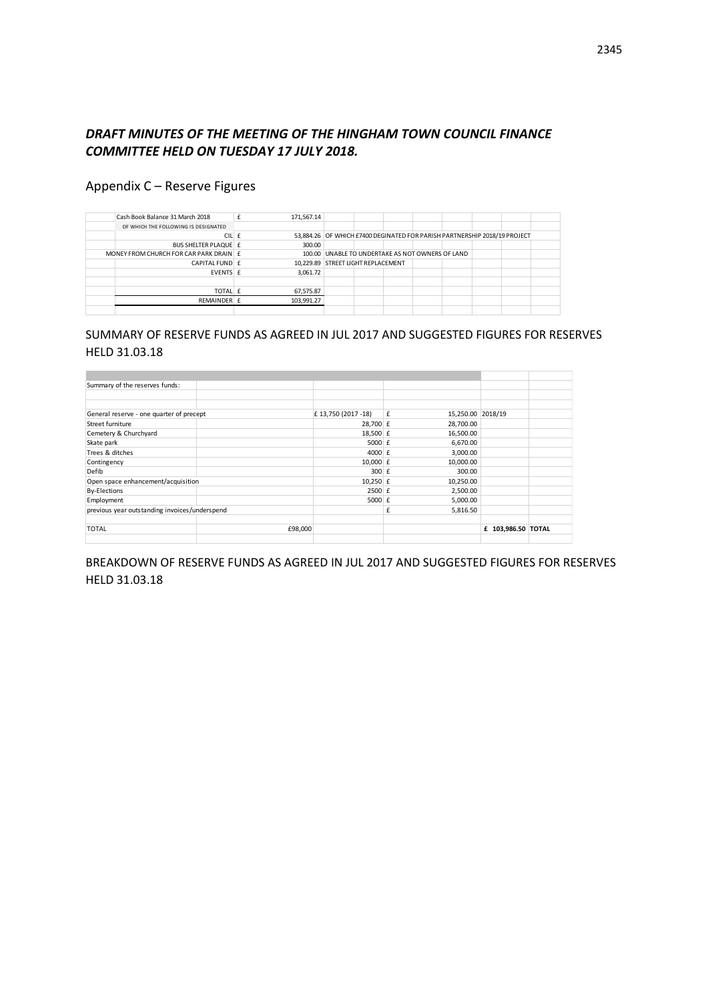## *DRAFT MINUTES OF THE MEETING OF THE HINGHAM TOWN COUNCIL FINANCE COMMITTEE HELD ON TUESDAY 17 JULY 2018.*

## Appendix C – Reserve Figures

| Cash Book Balance 31 March 2018        | 171,567.14 |                                                                           |  |  |  |  |
|----------------------------------------|------------|---------------------------------------------------------------------------|--|--|--|--|
| OF WHICH THE FOLLOWING IS DESIGNATED   |            |                                                                           |  |  |  |  |
| CIL £                                  |            | 53,884.26 OF WHICH £7400 DEGINATED FOR PARISH PARTNERSHIP 2018/19 PROJECT |  |  |  |  |
| BUS SHELTER PLAQUE E                   | 300.00     |                                                                           |  |  |  |  |
| MONEY FROM CHURCH FOR CAR PARK DRAIN E |            | 100.00 UNABLE TO UNDERTAKE AS NOT OWNERS OF LAND                          |  |  |  |  |
| CAPITAL FUND E                         |            | 10,229.89 STREET LIGHT REPLACEMENT                                        |  |  |  |  |
| EVENTS £                               | 3,061.72   |                                                                           |  |  |  |  |
|                                        |            |                                                                           |  |  |  |  |
| TOTAL £                                | 67,575.87  |                                                                           |  |  |  |  |
| REMAINDER £                            | 103,991.27 |                                                                           |  |  |  |  |
|                                        |            |                                                                           |  |  |  |  |

## SUMMARY OF RESERVE FUNDS AS AGREED IN JUL 2017 AND SUGGESTED FIGURES FOR RESERVES HELD 31.03.18

| Summary of the reserves funds:                |         |                     |   |                   |                    |  |
|-----------------------------------------------|---------|---------------------|---|-------------------|--------------------|--|
|                                               |         |                     |   |                   |                    |  |
|                                               |         |                     |   |                   |                    |  |
| General reserve - one quarter of precept      |         | £ 13,750 (2017 -18) | £ | 15,250.00 2018/19 |                    |  |
| Street furniture                              |         | 28,700 £            |   | 28,700.00         |                    |  |
| Cemetery & Churchyard                         |         | 18,500 £            |   | 16,500.00         |                    |  |
| Skate park                                    |         | 5000 $f$            |   | 6,670.00          |                    |  |
| Trees & ditches                               |         | 4000 $E$            |   | 3,000.00          |                    |  |
| Contingency                                   |         | 10,000 $E$          |   | 10,000.00         |                    |  |
| Defib                                         |         | $300$ $E$           |   | 300.00            |                    |  |
| Open space enhancement/acquisition            |         | $10,250$ £          |   | 10,250.00         |                    |  |
| <b>By-Elections</b>                           |         | $2500 \text{ f}$    |   | 2,500.00          |                    |  |
| Employment                                    |         | 5000 $f$            |   | 5,000.00          |                    |  |
| previous year outstanding invoices/underspend |         |                     | £ | 5,816.50          |                    |  |
|                                               |         |                     |   |                   |                    |  |
| <b>TOTAL</b>                                  | £98,000 |                     |   |                   | £ 103,986.50 TOTAL |  |
|                                               |         |                     |   |                   |                    |  |

BREAKDOWN OF RESERVE FUNDS AS AGREED IN JUL 2017 AND SUGGESTED FIGURES FOR RESERVES HELD 31.03.18